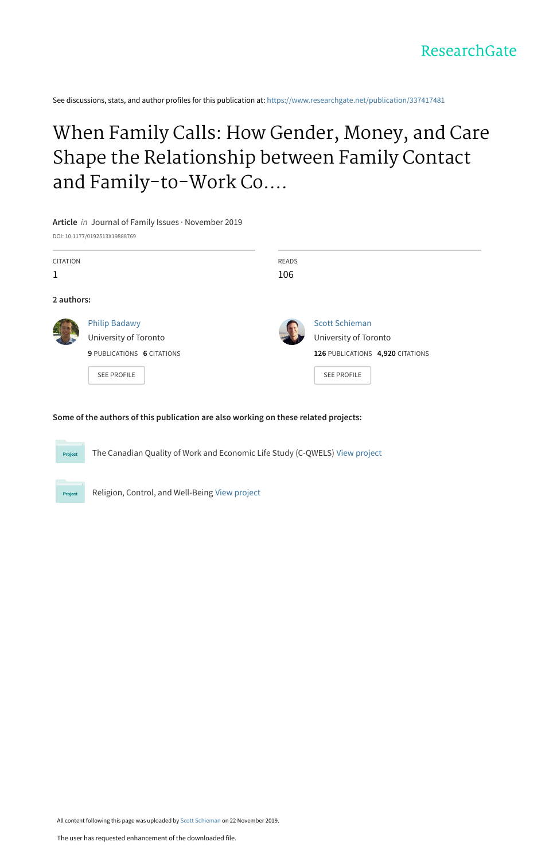See discussions, stats, and author profiles for this publication at: [https://www.researchgate.net/publication/337417481](https://www.researchgate.net/publication/337417481_When_Family_Calls_How_Gender_Money_and_Care_Shape_the_Relationship_between_Family_Contact_and_Family-to-Work_Conflict?enrichId=rgreq-48c1ead791024210a50c3d8c764eafe8-XXX&enrichSource=Y292ZXJQYWdlOzMzNzQxNzQ4MTtBUzo4MjgwNTkwMTE4MDUxODVAMTU3NDQzNjA2MTk3Mg%3D%3D&el=1_x_2&_esc=publicationCoverPdf)

# When Family Calls: How Gender, Money, and Care Shape the Relationship between Family Contact and Family-to-Work Co....

**Article** in Journal of Family Issues · November 2019 DOI: 10.1177/0192513X19888769 CITATION 1 READS 106 **2 authors:** [Philip Badawy](https://www.researchgate.net/profile/Philip_Badawy?enrichId=rgreq-48c1ead791024210a50c3d8c764eafe8-XXX&enrichSource=Y292ZXJQYWdlOzMzNzQxNzQ4MTtBUzo4MjgwNTkwMTE4MDUxODVAMTU3NDQzNjA2MTk3Mg%3D%3D&el=1_x_5&_esc=publicationCoverPdf) [Scott Schieman](https://www.researchgate.net/profile/Scott_Schieman?enrichId=rgreq-48c1ead791024210a50c3d8c764eafe8-XXX&enrichSource=Y292ZXJQYWdlOzMzNzQxNzQ4MTtBUzo4MjgwNTkwMTE4MDUxODVAMTU3NDQzNjA2MTk3Mg%3D%3D&el=1_x_5&_esc=publicationCoverPdf)

> [University of Toronto](https://www.researchgate.net/institution/University_of_Toronto?enrichId=rgreq-48c1ead791024210a50c3d8c764eafe8-XXX&enrichSource=Y292ZXJQYWdlOzMzNzQxNzQ4MTtBUzo4MjgwNTkwMTE4MDUxODVAMTU3NDQzNjA2MTk3Mg%3D%3D&el=1_x_6&_esc=publicationCoverPdf) **9** PUBLICATIONS **6** CITATIONS

[SEE PROFILE](https://www.researchgate.net/profile/Philip_Badawy?enrichId=rgreq-48c1ead791024210a50c3d8c764eafe8-XXX&enrichSource=Y292ZXJQYWdlOzMzNzQxNzQ4MTtBUzo4MjgwNTkwMTE4MDUxODVAMTU3NDQzNjA2MTk3Mg%3D%3D&el=1_x_7&_esc=publicationCoverPdf)

**126** PUBLICATIONS **4,920** CITATIONS [SEE PROFILE](https://www.researchgate.net/profile/Scott_Schieman?enrichId=rgreq-48c1ead791024210a50c3d8c764eafe8-XXX&enrichSource=Y292ZXJQYWdlOzMzNzQxNzQ4MTtBUzo4MjgwNTkwMTE4MDUxODVAMTU3NDQzNjA2MTk3Mg%3D%3D&el=1_x_7&_esc=publicationCoverPdf)

[University of Toronto](https://www.researchgate.net/institution/University_of_Toronto?enrichId=rgreq-48c1ead791024210a50c3d8c764eafe8-XXX&enrichSource=Y292ZXJQYWdlOzMzNzQxNzQ4MTtBUzo4MjgwNTkwMTE4MDUxODVAMTU3NDQzNjA2MTk3Mg%3D%3D&el=1_x_6&_esc=publicationCoverPdf)

**Some of the authors of this publication are also working on these related projects:**

The Canadian Quality of Work and Economic Life Study (C-QWELS) [View project](https://www.researchgate.net/project/The-Canadian-Quality-of-Work-and-Economic-Life-Study-C-QWELS?enrichId=rgreq-48c1ead791024210a50c3d8c764eafe8-XXX&enrichSource=Y292ZXJQYWdlOzMzNzQxNzQ4MTtBUzo4MjgwNTkwMTE4MDUxODVAMTU3NDQzNjA2MTk3Mg%3D%3D&el=1_x_9&_esc=publicationCoverPdf)



Religion, Control, and Well-Being [View project](https://www.researchgate.net/project/Religion-Control-and-Well-Being?enrichId=rgreq-48c1ead791024210a50c3d8c764eafe8-XXX&enrichSource=Y292ZXJQYWdlOzMzNzQxNzQ4MTtBUzo4MjgwNTkwMTE4MDUxODVAMTU3NDQzNjA2MTk3Mg%3D%3D&el=1_x_9&_esc=publicationCoverPdf)

All content following this page was uploaded by [Scott Schieman](https://www.researchgate.net/profile/Scott_Schieman?enrichId=rgreq-48c1ead791024210a50c3d8c764eafe8-XXX&enrichSource=Y292ZXJQYWdlOzMzNzQxNzQ4MTtBUzo4MjgwNTkwMTE4MDUxODVAMTU3NDQzNjA2MTk3Mg%3D%3D&el=1_x_10&_esc=publicationCoverPdf) on 22 November 2019.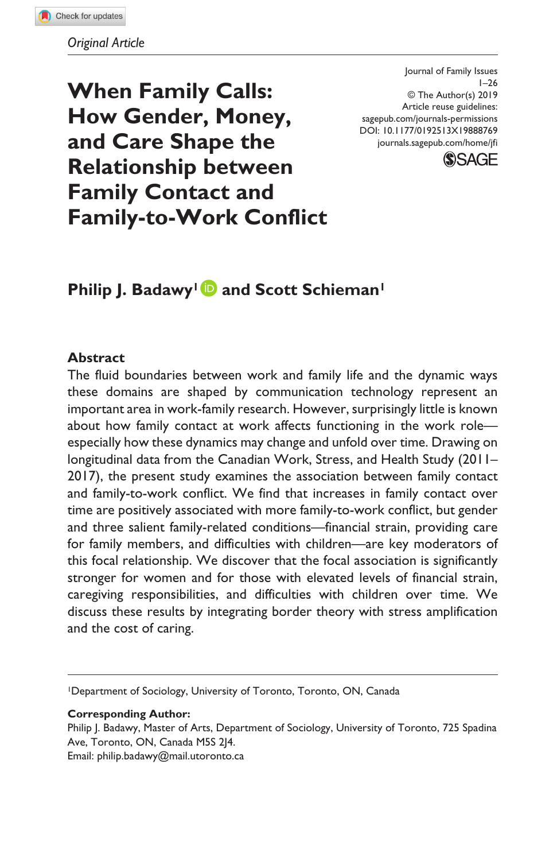**When Family Calls: How Gender, Money, and Care Shape the Relationship between Family Contact and Family-to-Work Conflict** DOI: 10.1177/0192513X19888769 Journal of Family Issues  $1 - 26$ © The Author(s) 2019 Article reuse guidelines: [sagepub.com/journals-permissions](https://us.sagepub.com/en-us/journals-permissions) [journals.sagepub.com/home/jfi](https://journals.sagepub.com/home/jfi)



## **Philip J. Badawy<sup>1</sup> and Scott Schieman<sup>1</sup>**

#### **Abstract**

The fluid boundaries between work and family life and the dynamic ways these domains are shaped by communication technology represent an important area in work-family research. However, surprisingly little is known about how family contact at work affects functioning in the work role especially how these dynamics may change and unfold over time. Drawing on longitudinal data from the Canadian Work, Stress, and Health Study (2011– 2017), the present study examines the association between family contact and family-to-work conflict. We find that increases in family contact over time are positively associated with more family-to-work conflict, but gender and three salient family-related conditions—financial strain, providing care for family members, and difficulties with children—are key moderators of this focal relationship. We discover that the focal association is significantly stronger for women and for those with elevated levels of financial strain, caregiving responsibilities, and difficulties with children over time. We discuss these results by integrating border theory with stress amplification and the cost of caring.

1Department of Sociology, University of Toronto, Toronto, ON, Canada

#### **Corresponding Author:**

Philip J. Badawy, Master of Arts, Department of Sociology, University of Toronto, 725 Spadina Ave, Toronto, ON, Canada M5S 2J4.

Email: [philip.badawy@mail.utoronto.ca](mailto:philip.badawy@mail.utoronto.ca)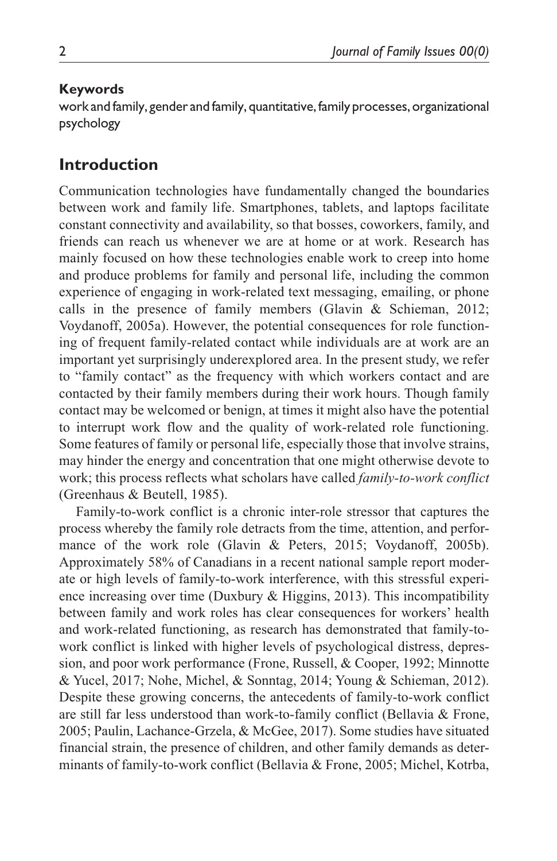#### **Keywords**

work and family, gender and family, quantitative, family processes, organizational psychology

### **Introduction**

Communication technologies have fundamentally changed the boundaries between work and family life. Smartphones, tablets, and laptops facilitate constant connectivity and availability, so that bosses, coworkers, family, and friends can reach us whenever we are at home or at work. Research has mainly focused on how these technologies enable work to creep into home and produce problems for family and personal life, including the common experience of engaging in work-related text messaging, emailing, or phone calls in the presence of family members (Glavin & Schieman, 2012; Voydanoff, 2005a). However, the potential consequences for role functioning of frequent family-related contact while individuals are at work are an important yet surprisingly underexplored area. In the present study, we refer to "family contact" as the frequency with which workers contact and are contacted by their family members during their work hours. Though family contact may be welcomed or benign, at times it might also have the potential to interrupt work flow and the quality of work-related role functioning. Some features of family or personal life, especially those that involve strains, may hinder the energy and concentration that one might otherwise devote to work; this process reflects what scholars have called *family-to-work conflict* (Greenhaus & Beutell, 1985).

Family-to-work conflict is a chronic inter-role stressor that captures the process whereby the family role detracts from the time, attention, and performance of the work role (Glavin & Peters, 2015; Voydanoff, 2005b). Approximately 58% of Canadians in a recent national sample report moderate or high levels of family-to-work interference, with this stressful experience increasing over time (Duxbury & Higgins, 2013). This incompatibility between family and work roles has clear consequences for workers' health and work-related functioning, as research has demonstrated that family-towork conflict is linked with higher levels of psychological distress, depression, and poor work performance (Frone, Russell, & Cooper, 1992; Minnotte & Yucel, 2017; Nohe, Michel, & Sonntag, 2014; Young & Schieman, 2012). Despite these growing concerns, the antecedents of family-to-work conflict are still far less understood than work-to-family conflict (Bellavia & Frone, 2005; Paulin, Lachance-Grzela, & McGee, 2017). Some studies have situated financial strain, the presence of children, and other family demands as determinants of family-to-work conflict (Bellavia & Frone, 2005; Michel, Kotrba,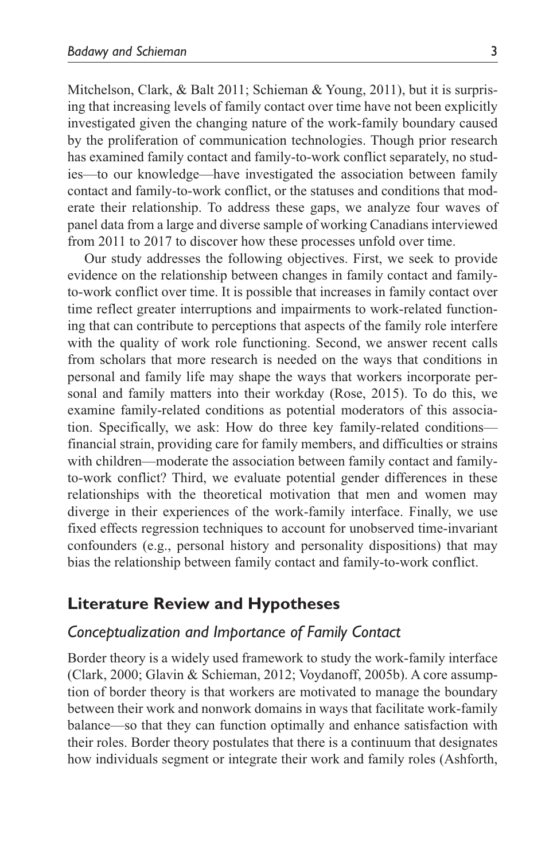Mitchelson, Clark, & Balt 2011; Schieman & Young, 2011), but it is surprising that increasing levels of family contact over time have not been explicitly investigated given the changing nature of the work-family boundary caused by the proliferation of communication technologies. Though prior research has examined family contact and family-to-work conflict separately, no studies—to our knowledge—have investigated the association between family contact and family-to-work conflict, or the statuses and conditions that moderate their relationship. To address these gaps, we analyze four waves of panel data from a large and diverse sample of working Canadians interviewed from 2011 to 2017 to discover how these processes unfold over time.

Our study addresses the following objectives. First, we seek to provide evidence on the relationship between changes in family contact and familyto-work conflict over time. It is possible that increases in family contact over time reflect greater interruptions and impairments to work-related functioning that can contribute to perceptions that aspects of the family role interfere with the quality of work role functioning. Second, we answer recent calls from scholars that more research is needed on the ways that conditions in personal and family life may shape the ways that workers incorporate personal and family matters into their workday (Rose, 2015). To do this, we examine family-related conditions as potential moderators of this association. Specifically, we ask: How do three key family-related conditions financial strain, providing care for family members, and difficulties or strains with children—moderate the association between family contact and familyto-work conflict? Third, we evaluate potential gender differences in these relationships with the theoretical motivation that men and women may diverge in their experiences of the work-family interface. Finally, we use fixed effects regression techniques to account for unobserved time-invariant confounders (e.g., personal history and personality dispositions) that may bias the relationship between family contact and family-to-work conflict.

#### **Literature Review and Hypotheses**

#### *Conceptualization and Importance of Family Contact*

Border theory is a widely used framework to study the work-family interface (Clark, 2000; Glavin & Schieman, 2012; Voydanoff, 2005b). A core assumption of border theory is that workers are motivated to manage the boundary between their work and nonwork domains in ways that facilitate work-family balance—so that they can function optimally and enhance satisfaction with their roles. Border theory postulates that there is a continuum that designates how individuals segment or integrate their work and family roles (Ashforth,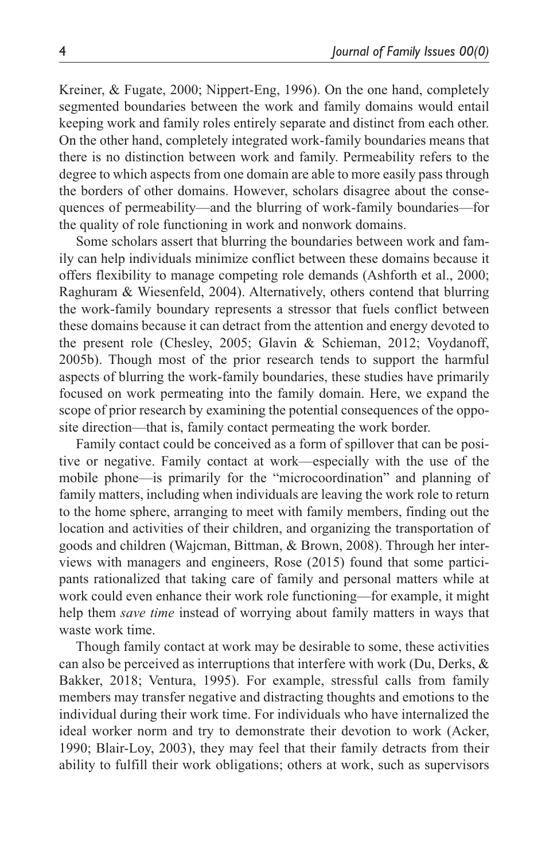Kreiner, & Fugate, 2000; Nippert-Eng, 1996). On the one hand, completely segmented boundaries between the work and family domains would entail keeping work and family roles entirely separate and distinct from each other. On the other hand, completely integrated work-family boundaries means that there is no distinction between work and family. Permeability refers to the degree to which aspects from one domain are able to more easily pass through the borders of other domains. However, scholars disagree about the consequences of permeability—and the blurring of work-family boundaries—for the quality of role functioning in work and nonwork domains.

Some scholars assert that blurring the boundaries between work and family can help individuals minimize conflict between these domains because it offers flexibility to manage competing role demands (Ashforth et al., 2000; Raghuram & Wiesenfeld, 2004). Alternatively, others contend that blurring the work-family boundary represents a stressor that fuels conflict between these domains because it can detract from the attention and energy devoted to the present role (Chesley, 2005; Glavin & Schieman, 2012; Voydanoff, 2005b). Though most of the prior research tends to support the harmful aspects of blurring the work-family boundaries, these studies have primarily focused on work permeating into the family domain. Here, we expand the scope of prior research by examining the potential consequences of the opposite direction—that is, family contact permeating the work border.

Family contact could be conceived as a form of spillover that can be positive or negative. Family contact at work—especially with the use of the mobile phone—is primarily for the "microcoordination" and planning of family matters, including when individuals are leaving the work role to return to the home sphere, arranging to meet with family members, finding out the location and activities of their children, and organizing the transportation of goods and children (Wajcman, Bittman, & Brown, 2008). Through her interviews with managers and engineers, Rose (2015) found that some participants rationalized that taking care of family and personal matters while at work could even enhance their work role functioning—for example, it might help them *save time* instead of worrying about family matters in ways that waste work time.

Though family contact at work may be desirable to some, these activities can also be perceived as interruptions that interfere with work (Du, Derks, & Bakker, 2018; Ventura, 1995). For example, stressful calls from family members may transfer negative and distracting thoughts and emotions to the individual during their work time. For individuals who have internalized the ideal worker norm and try to demonstrate their devotion to work (Acker, 1990; Blair-Loy, 2003), they may feel that their family detracts from their ability to fulfill their work obligations; others at work, such as supervisors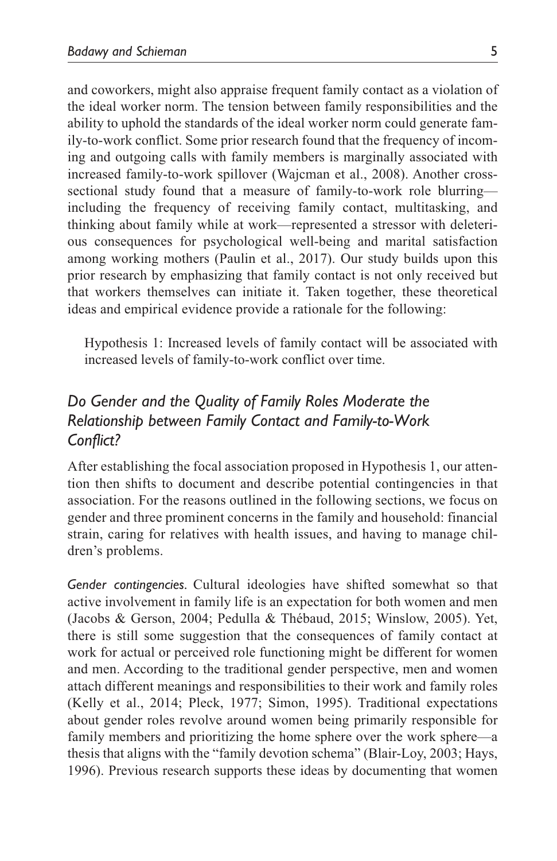and coworkers, might also appraise frequent family contact as a violation of the ideal worker norm. The tension between family responsibilities and the ability to uphold the standards of the ideal worker norm could generate family-to-work conflict. Some prior research found that the frequency of incoming and outgoing calls with family members is marginally associated with increased family-to-work spillover (Wajcman et al., 2008). Another crosssectional study found that a measure of family-to-work role blurring including the frequency of receiving family contact, multitasking, and thinking about family while at work—represented a stressor with deleterious consequences for psychological well-being and marital satisfaction among working mothers (Paulin et al., 2017). Our study builds upon this prior research by emphasizing that family contact is not only received but that workers themselves can initiate it. Taken together, these theoretical ideas and empirical evidence provide a rationale for the following:

Hypothesis 1: Increased levels of family contact will be associated with increased levels of family-to-work conflict over time.

## *Do Gender and the Quality of Family Roles Moderate the Relationship between Family Contact and Family-to-Work Conflict?*

After establishing the focal association proposed in Hypothesis 1, our attention then shifts to document and describe potential contingencies in that association. For the reasons outlined in the following sections, we focus on gender and three prominent concerns in the family and household: financial strain, caring for relatives with health issues, and having to manage children's problems.

*Gender contingencies.* Cultural ideologies have shifted somewhat so that active involvement in family life is an expectation for both women and men (Jacobs & Gerson, 2004; Pedulla & Thébaud, 2015; Winslow, 2005). Yet, there is still some suggestion that the consequences of family contact at work for actual or perceived role functioning might be different for women and men. According to the traditional gender perspective, men and women attach different meanings and responsibilities to their work and family roles (Kelly et al., 2014; Pleck, 1977; Simon, 1995). Traditional expectations about gender roles revolve around women being primarily responsible for family members and prioritizing the home sphere over the work sphere—a thesis that aligns with the "family devotion schema" (Blair-Loy, 2003; Hays, 1996). Previous research supports these ideas by documenting that women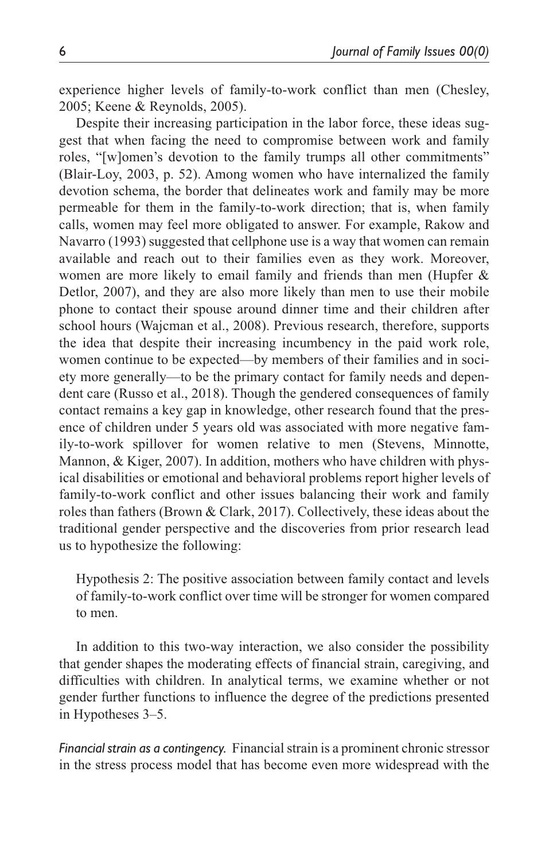experience higher levels of family-to-work conflict than men (Chesley, 2005; Keene & Reynolds, 2005).

Despite their increasing participation in the labor force, these ideas suggest that when facing the need to compromise between work and family roles, "[w]omen's devotion to the family trumps all other commitments" (Blair-Loy, 2003, p. 52). Among women who have internalized the family devotion schema, the border that delineates work and family may be more permeable for them in the family-to-work direction; that is, when family calls, women may feel more obligated to answer. For example, Rakow and Navarro (1993) suggested that cellphone use is a way that women can remain available and reach out to their families even as they work. Moreover, women are more likely to email family and friends than men (Hupfer & Detlor, 2007), and they are also more likely than men to use their mobile phone to contact their spouse around dinner time and their children after school hours (Wajcman et al., 2008). Previous research, therefore, supports the idea that despite their increasing incumbency in the paid work role, women continue to be expected—by members of their families and in society more generally—to be the primary contact for family needs and dependent care (Russo et al., 2018). Though the gendered consequences of family contact remains a key gap in knowledge, other research found that the presence of children under 5 years old was associated with more negative family-to-work spillover for women relative to men (Stevens, Minnotte, Mannon, & Kiger, 2007). In addition, mothers who have children with physical disabilities or emotional and behavioral problems report higher levels of family-to-work conflict and other issues balancing their work and family roles than fathers (Brown & Clark, 2017). Collectively, these ideas about the traditional gender perspective and the discoveries from prior research lead us to hypothesize the following:

Hypothesis 2: The positive association between family contact and levels of family-to-work conflict over time will be stronger for women compared to men.

In addition to this two-way interaction, we also consider the possibility that gender shapes the moderating effects of financial strain, caregiving, and difficulties with children. In analytical terms, we examine whether or not gender further functions to influence the degree of the predictions presented in Hypotheses 3–5.

*Financial strain as a contingency.* Financial strain is a prominent chronic stressor in the stress process model that has become even more widespread with the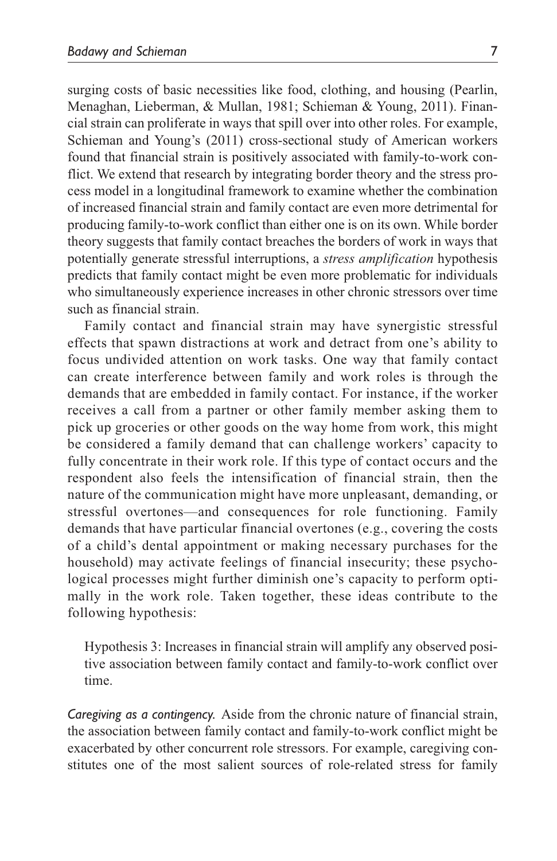surging costs of basic necessities like food, clothing, and housing (Pearlin, Menaghan, Lieberman, & Mullan, 1981; Schieman & Young, 2011). Financial strain can proliferate in ways that spill over into other roles. For example, Schieman and Young's (2011) cross-sectional study of American workers found that financial strain is positively associated with family-to-work conflict. We extend that research by integrating border theory and the stress process model in a longitudinal framework to examine whether the combination of increased financial strain and family contact are even more detrimental for producing family-to-work conflict than either one is on its own. While border theory suggests that family contact breaches the borders of work in ways that potentially generate stressful interruptions, a *stress amplification* hypothesis predicts that family contact might be even more problematic for individuals who simultaneously experience increases in other chronic stressors over time such as financial strain.

Family contact and financial strain may have synergistic stressful effects that spawn distractions at work and detract from one's ability to focus undivided attention on work tasks. One way that family contact can create interference between family and work roles is through the demands that are embedded in family contact. For instance, if the worker receives a call from a partner or other family member asking them to pick up groceries or other goods on the way home from work, this might be considered a family demand that can challenge workers' capacity to fully concentrate in their work role. If this type of contact occurs and the respondent also feels the intensification of financial strain, then the nature of the communication might have more unpleasant, demanding, or stressful overtones—and consequences for role functioning. Family demands that have particular financial overtones (e.g., covering the costs of a child's dental appointment or making necessary purchases for the household) may activate feelings of financial insecurity; these psychological processes might further diminish one's capacity to perform optimally in the work role. Taken together, these ideas contribute to the following hypothesis:

Hypothesis 3: Increases in financial strain will amplify any observed positive association between family contact and family-to-work conflict over time.

*Caregiving as a contingency.* Aside from the chronic nature of financial strain, the association between family contact and family-to-work conflict might be exacerbated by other concurrent role stressors. For example, caregiving constitutes one of the most salient sources of role-related stress for family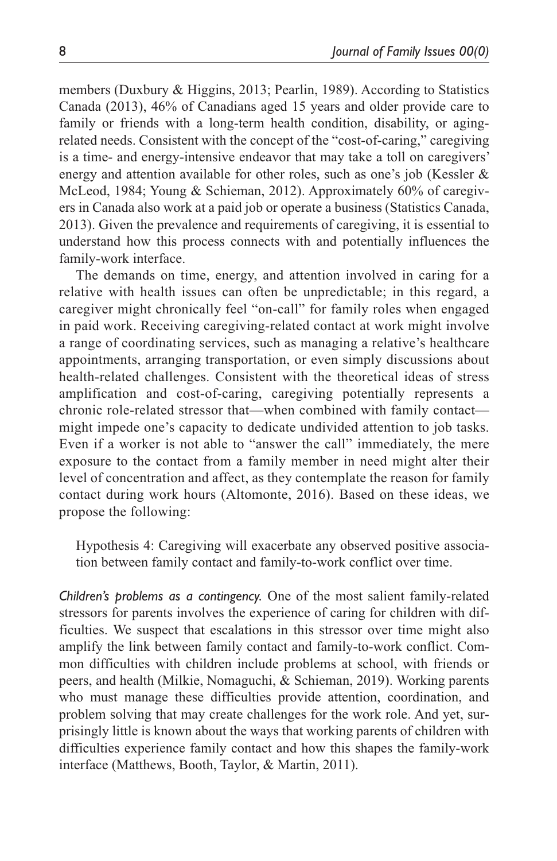members (Duxbury & Higgins, 2013; Pearlin, 1989). According to Statistics Canada (2013), 46% of Canadians aged 15 years and older provide care to family or friends with a long-term health condition, disability, or agingrelated needs. Consistent with the concept of the "cost-of-caring," caregiving is a time- and energy-intensive endeavor that may take a toll on caregivers' energy and attention available for other roles, such as one's job (Kessler & McLeod, 1984; Young & Schieman, 2012). Approximately 60% of caregivers in Canada also work at a paid job or operate a business (Statistics Canada, 2013). Given the prevalence and requirements of caregiving, it is essential to understand how this process connects with and potentially influences the family-work interface.

The demands on time, energy, and attention involved in caring for a relative with health issues can often be unpredictable; in this regard, a caregiver might chronically feel "on-call" for family roles when engaged in paid work. Receiving caregiving-related contact at work might involve a range of coordinating services, such as managing a relative's healthcare appointments, arranging transportation, or even simply discussions about health-related challenges. Consistent with the theoretical ideas of stress amplification and cost-of-caring, caregiving potentially represents a chronic role-related stressor that—when combined with family contact might impede one's capacity to dedicate undivided attention to job tasks. Even if a worker is not able to "answer the call" immediately, the mere exposure to the contact from a family member in need might alter their level of concentration and affect, as they contemplate the reason for family contact during work hours (Altomonte, 2016). Based on these ideas, we propose the following:

Hypothesis 4: Caregiving will exacerbate any observed positive association between family contact and family-to-work conflict over time.

*Children's problems as a contingency.* One of the most salient family-related stressors for parents involves the experience of caring for children with difficulties. We suspect that escalations in this stressor over time might also amplify the link between family contact and family-to-work conflict. Common difficulties with children include problems at school, with friends or peers, and health (Milkie, Nomaguchi, & Schieman, 2019). Working parents who must manage these difficulties provide attention, coordination, and problem solving that may create challenges for the work role. And yet, surprisingly little is known about the ways that working parents of children with difficulties experience family contact and how this shapes the family-work interface (Matthews, Booth, Taylor, & Martin, 2011).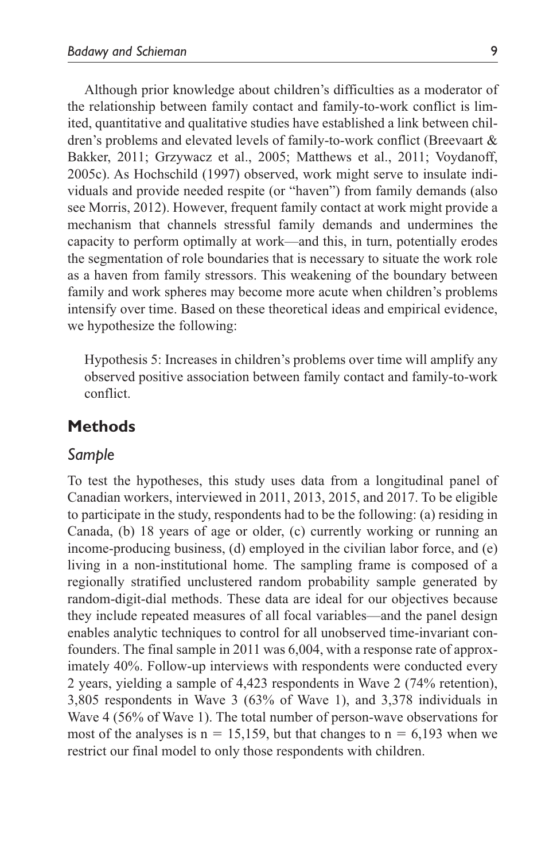Although prior knowledge about children's difficulties as a moderator of the relationship between family contact and family-to-work conflict is limited, quantitative and qualitative studies have established a link between children's problems and elevated levels of family-to-work conflict (Breevaart & Bakker, 2011; Grzywacz et al., 2005; Matthews et al., 2011; Voydanoff, 2005c). As Hochschild (1997) observed, work might serve to insulate individuals and provide needed respite (or "haven") from family demands (also see Morris, 2012). However, frequent family contact at work might provide a mechanism that channels stressful family demands and undermines the capacity to perform optimally at work—and this, in turn, potentially erodes the segmentation of role boundaries that is necessary to situate the work role as a haven from family stressors. This weakening of the boundary between family and work spheres may become more acute when children's problems intensify over time. Based on these theoretical ideas and empirical evidence, we hypothesize the following:

Hypothesis 5: Increases in children's problems over time will amplify any observed positive association between family contact and family-to-work conflict.

### **Methods**

#### *Sample*

To test the hypotheses, this study uses data from a longitudinal panel of Canadian workers, interviewed in 2011, 2013, 2015, and 2017. To be eligible to participate in the study, respondents had to be the following: (a) residing in Canada, (b) 18 years of age or older, (c) currently working or running an income-producing business, (d) employed in the civilian labor force, and (e) living in a non-institutional home. The sampling frame is composed of a regionally stratified unclustered random probability sample generated by random-digit-dial methods. These data are ideal for our objectives because they include repeated measures of all focal variables—and the panel design enables analytic techniques to control for all unobserved time-invariant confounders. The final sample in 2011 was 6,004, with a response rate of approximately 40%. Follow-up interviews with respondents were conducted every 2 years, yielding a sample of 4,423 respondents in Wave 2 (74% retention), 3,805 respondents in Wave 3 (63% of Wave 1), and 3,378 individuals in Wave 4 (56% of Wave 1). The total number of person-wave observations for most of the analyses is  $n = 15,159$ , but that changes to  $n = 6,193$  when we restrict our final model to only those respondents with children.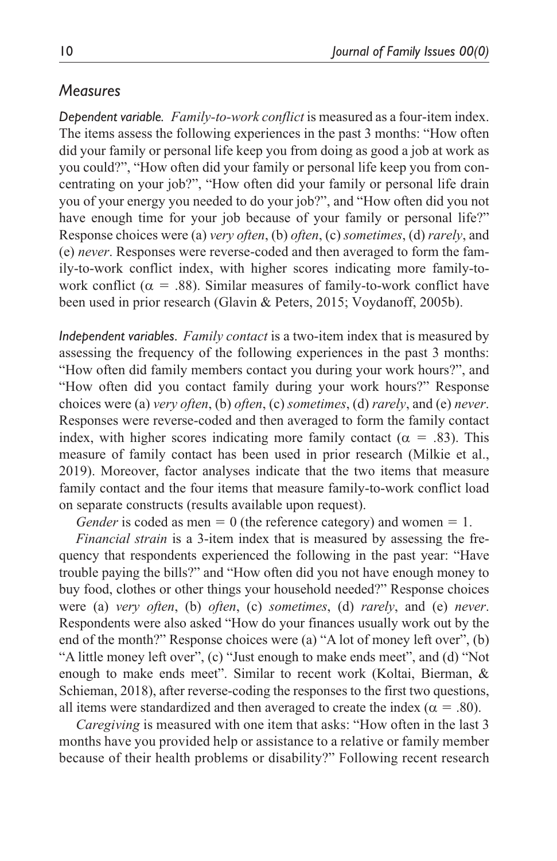#### *Measures*

*Dependent variable. Family-to-work conflict* is measured as a four-item index. The items assess the following experiences in the past 3 months: "How often did your family or personal life keep you from doing as good a job at work as you could?", "How often did your family or personal life keep you from concentrating on your job?", "How often did your family or personal life drain you of your energy you needed to do your job?", and "How often did you not have enough time for your job because of your family or personal life?" Response choices were (a) *very often*, (b) *often*, (c) *sometimes*, (d) *rarely*, and (e) *never*. Responses were reverse-coded and then averaged to form the family-to-work conflict index, with higher scores indicating more family-towork conflict ( $\alpha = .88$ ). Similar measures of family-to-work conflict have been used in prior research (Glavin & Peters, 2015; Voydanoff, 2005b).

*Independent variables. Family contact* is a two-item index that is measured by assessing the frequency of the following experiences in the past 3 months: "How often did family members contact you during your work hours?", and "How often did you contact family during your work hours?" Response choices were (a) *very often*, (b) *often*, (c) *sometimes*, (d) *rarely*, and (e) *never*. Responses were reverse-coded and then averaged to form the family contact index, with higher scores indicating more family contact ( $\alpha = .83$ ). This measure of family contact has been used in prior research (Milkie et al., 2019). Moreover, factor analyses indicate that the two items that measure family contact and the four items that measure family-to-work conflict load on separate constructs (results available upon request).

*Gender* is coded as men  $= 0$  (the reference category) and women  $= 1$ .

*Financial strain* is a 3-item index that is measured by assessing the frequency that respondents experienced the following in the past year: "Have trouble paying the bills?" and "How often did you not have enough money to buy food, clothes or other things your household needed?" Response choices were (a) *very often*, (b) *often*, (c) *sometimes*, (d) *rarely*, and (e) *never*. Respondents were also asked "How do your finances usually work out by the end of the month?" Response choices were (a) "A lot of money left over", (b) "A little money left over", (c) "Just enough to make ends meet", and (d) "Not enough to make ends meet". Similar to recent work (Koltai, Bierman, & Schieman, 2018), after reverse-coding the responses to the first two questions, all items were standardized and then averaged to create the index ( $\alpha = .80$ ).

*Caregiving* is measured with one item that asks: "How often in the last 3 months have you provided help or assistance to a relative or family member because of their health problems or disability?" Following recent research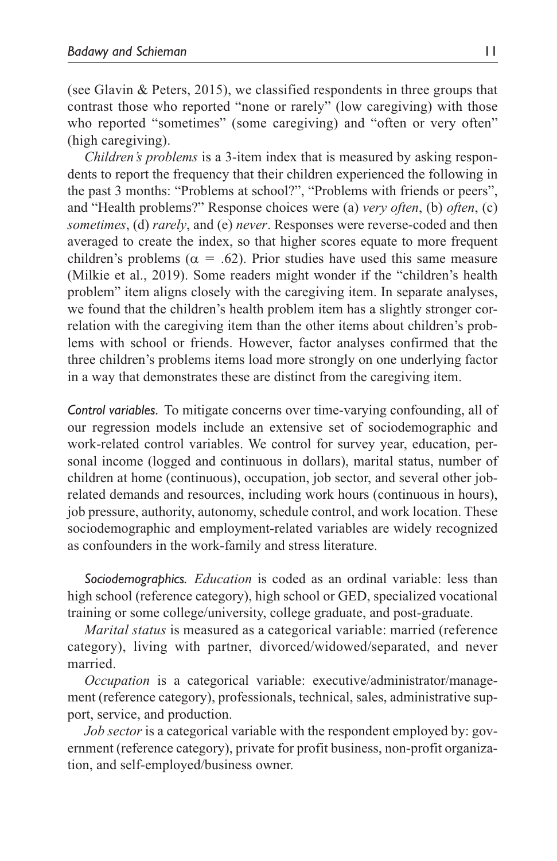(see Glavin & Peters, 2015), we classified respondents in three groups that contrast those who reported "none or rarely" (low caregiving) with those who reported "sometimes" (some caregiving) and "often or very often" (high caregiving).

*Children's problems* is a 3-item index that is measured by asking respondents to report the frequency that their children experienced the following in the past 3 months: "Problems at school?", "Problems with friends or peers", and "Health problems?" Response choices were (a) *very often*, (b) *often*, (c) *sometimes*, (d) *rarely*, and (e) *never*. Responses were reverse-coded and then averaged to create the index, so that higher scores equate to more frequent children's problems ( $\alpha = .62$ ). Prior studies have used this same measure (Milkie et al., 2019). Some readers might wonder if the "children's health problem" item aligns closely with the caregiving item. In separate analyses, we found that the children's health problem item has a slightly stronger correlation with the caregiving item than the other items about children's problems with school or friends. However, factor analyses confirmed that the three children's problems items load more strongly on one underlying factor in a way that demonstrates these are distinct from the caregiving item.

*Control variables.* To mitigate concerns over time-varying confounding, all of our regression models include an extensive set of sociodemographic and work-related control variables. We control for survey year, education, personal income (logged and continuous in dollars), marital status, number of children at home (continuous), occupation, job sector, and several other jobrelated demands and resources, including work hours (continuous in hours), job pressure, authority, autonomy, schedule control, and work location. These sociodemographic and employment-related variables are widely recognized as confounders in the work-family and stress literature.

*Sociodemographics. Education* is coded as an ordinal variable: less than high school (reference category), high school or GED, specialized vocational training or some college/university, college graduate, and post-graduate.

*Marital status* is measured as a categorical variable: married (reference category), living with partner, divorced/widowed/separated, and never married.

*Occupation* is a categorical variable: executive/administrator/management (reference category), professionals, technical, sales, administrative support, service, and production.

*Job sector* is a categorical variable with the respondent employed by: government (reference category), private for profit business, non-profit organization, and self-employed/business owner.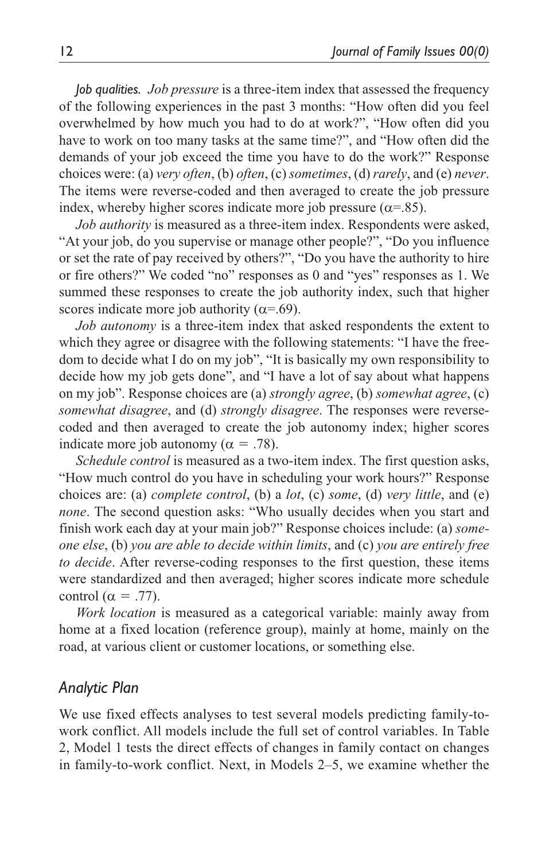*Job qualities. Job pressure* is a three-item index that assessed the frequency of the following experiences in the past 3 months: "How often did you feel overwhelmed by how much you had to do at work?", "How often did you have to work on too many tasks at the same time?", and "How often did the demands of your job exceed the time you have to do the work?" Response choices were: (a) *very often*, (b) *often*, (c) *sometimes*, (d) *rarely*, and (e) *never*. The items were reverse-coded and then averaged to create the job pressure index, whereby higher scores indicate more job pressure ( $\alpha$ =.85).

*Job authority* is measured as a three-item index. Respondents were asked, "At your job, do you supervise or manage other people?", "Do you influence or set the rate of pay received by others?", "Do you have the authority to hire or fire others?" We coded "no" responses as 0 and "yes" responses as 1. We summed these responses to create the job authority index, such that higher scores indicate more job authority ( $\alpha$ =.69).

*Job autonomy* is a three-item index that asked respondents the extent to which they agree or disagree with the following statements: "I have the freedom to decide what I do on my job", "It is basically my own responsibility to decide how my job gets done", and "I have a lot of say about what happens on my job". Response choices are (a) *strongly agree*, (b) *somewhat agree*, (c) *somewhat disagree*, and (d) *strongly disagree*. The responses were reversecoded and then averaged to create the job autonomy index; higher scores indicate more job autonomy ( $\alpha = .78$ ).

*Schedule control* is measured as a two-item index. The first question asks, "How much control do you have in scheduling your work hours?" Response choices are: (a) *complete control*, (b) a *lot*, (c) *some*, (d) *very little*, and (e) *none*. The second question asks: "Who usually decides when you start and finish work each day at your main job?" Response choices include: (a) *someone else*, (b) *you are able to decide within limits*, and (c) *you are entirely free to decide*. After reverse-coding responses to the first question, these items were standardized and then averaged; higher scores indicate more schedule control ( $\alpha = .77$ ).

*Work location* is measured as a categorical variable: mainly away from home at a fixed location (reference group), mainly at home, mainly on the road, at various client or customer locations, or something else.

#### *Analytic Plan*

We use fixed effects analyses to test several models predicting family-towork conflict. All models include the full set of control variables. In Table 2, Model 1 tests the direct effects of changes in family contact on changes in family-to-work conflict. Next, in Models 2–5, we examine whether the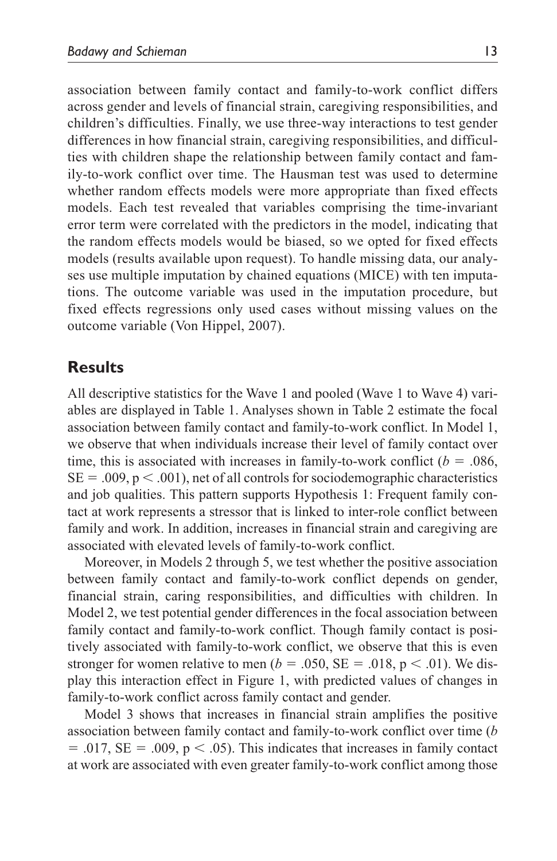association between family contact and family-to-work conflict differs across gender and levels of financial strain, caregiving responsibilities, and children's difficulties. Finally, we use three-way interactions to test gender differences in how financial strain, caregiving responsibilities, and difficulties with children shape the relationship between family contact and family-to-work conflict over time. The Hausman test was used to determine whether random effects models were more appropriate than fixed effects models. Each test revealed that variables comprising the time-invariant error term were correlated with the predictors in the model, indicating that the random effects models would be biased, so we opted for fixed effects models (results available upon request). To handle missing data, our analyses use multiple imputation by chained equations (MICE) with ten imputations. The outcome variable was used in the imputation procedure, but fixed effects regressions only used cases without missing values on the outcome variable (Von Hippel, 2007).

### **Results**

All descriptive statistics for the Wave 1 and pooled (Wave 1 to Wave 4) variables are displayed in Table 1. Analyses shown in Table 2 estimate the focal association between family contact and family-to-work conflict. In Model 1, we observe that when individuals increase their level of family contact over time, this is associated with increases in family-to-work conflict ( $b = .086$ ,  $SE = .009$ ,  $p < .001$ ), net of all controls for sociodemographic characteristics and job qualities. This pattern supports Hypothesis 1: Frequent family contact at work represents a stressor that is linked to inter-role conflict between family and work. In addition, increases in financial strain and caregiving are associated with elevated levels of family-to-work conflict.

Moreover, in Models 2 through 5, we test whether the positive association between family contact and family-to-work conflict depends on gender, financial strain, caring responsibilities, and difficulties with children. In Model 2, we test potential gender differences in the focal association between family contact and family-to-work conflict. Though family contact is positively associated with family-to-work conflict, we observe that this is even stronger for women relative to men ( $b = .050$ , SE = .018, p < .01). We display this interaction effect in Figure 1, with predicted values of changes in family-to-work conflict across family contact and gender.

Model 3 shows that increases in financial strain amplifies the positive association between family contact and family-to-work conflict over time (*b*  $= .017$ , SE  $= .009$ ,  $p < .05$ ). This indicates that increases in family contact at work are associated with even greater family-to-work conflict among those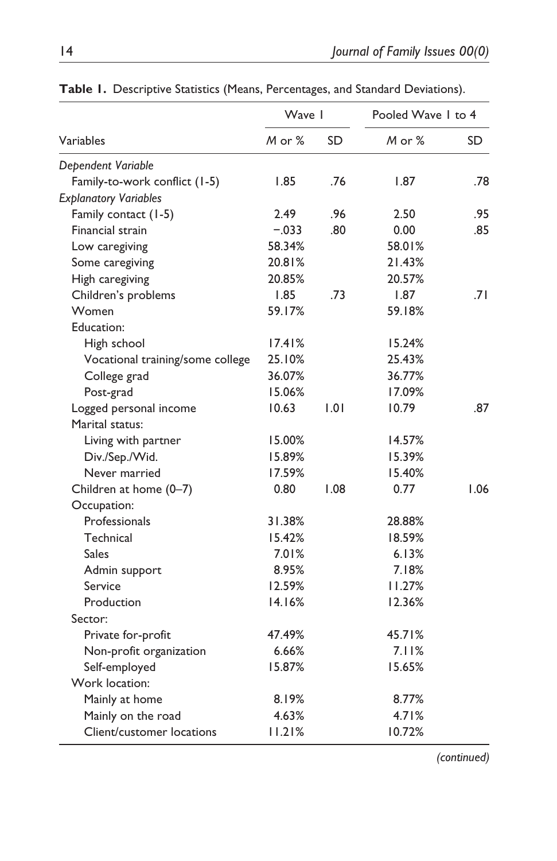|                                  | Wave I  |      | Pooled Wave 1 to 4 |      |
|----------------------------------|---------|------|--------------------|------|
| Variables                        | M or %  | SD   | M or %             | SD   |
| Dependent Variable               |         |      |                    |      |
| Family-to-work conflict (1-5)    | 1.85    | .76  | 1.87               | .78  |
| <b>Explanatory Variables</b>     |         |      |                    |      |
| Family contact (1-5)             | 2.49    | .96  | 2.50               | .95  |
| Financial strain                 | $-.033$ | .80  | 0.00               | .85  |
| Low caregiving                   | 58.34%  |      | 58.01%             |      |
| Some caregiving                  | 20.81%  |      | 21.43%             |      |
| High caregiving                  | 20.85%  |      | 20.57%             |      |
| Children's problems              | 1.85    | .73  | 1.87               | .71  |
| Women                            | 59.17%  |      | 59.18%             |      |
| Education:                       |         |      |                    |      |
| High school                      | 17.41%  |      | 15.24%             |      |
| Vocational training/some college | 25.10%  |      | 25.43%             |      |
| College grad                     | 36.07%  |      | 36.77%             |      |
| Post-grad                        | 15.06%  |      | 17.09%             |      |
| Logged personal income           | 10.63   | 1.01 | 10.79              | .87  |
| Marital status:                  |         |      |                    |      |
| Living with partner              | 15.00%  |      | 14.57%             |      |
| Div./Sep./Wid.                   | 15.89%  |      | 15.39%             |      |
| Never married                    | 17.59%  |      | 15.40%             |      |
| Children at home (0-7)           | 0.80    | 1.08 | 0.77               | 1.06 |
| Occupation:                      |         |      |                    |      |
| Professionals                    | 31.38%  |      | 28.88%             |      |
| Technical                        | 15.42%  |      | 18.59%             |      |
| <b>Sales</b>                     | 7.01%   |      | 6.13%              |      |
| Admin support                    | 8.95%   |      | 7.18%              |      |
| Service                          | 12.59%  |      | 11.27%             |      |
| Production                       | 14.16%  |      | 12.36%             |      |
| Sector:                          |         |      |                    |      |
| Private for-profit               | 47.49%  |      | 45.71%             |      |
| Non-profit organization          | 6.66%   |      | 7.11%              |      |
| Self-employed                    | 15.87%  |      | 15.65%             |      |
| Work location:                   |         |      |                    |      |
| Mainly at home                   | 8.19%   |      | 8.77%              |      |
| Mainly on the road               | 4.63%   |      | 4.71%              |      |
| Client/customer locations        | 11.21%  |      | 10.72%             |      |

**Table 1.** Descriptive Statistics (Means, Percentages, and Standard Deviations).

*(continued)*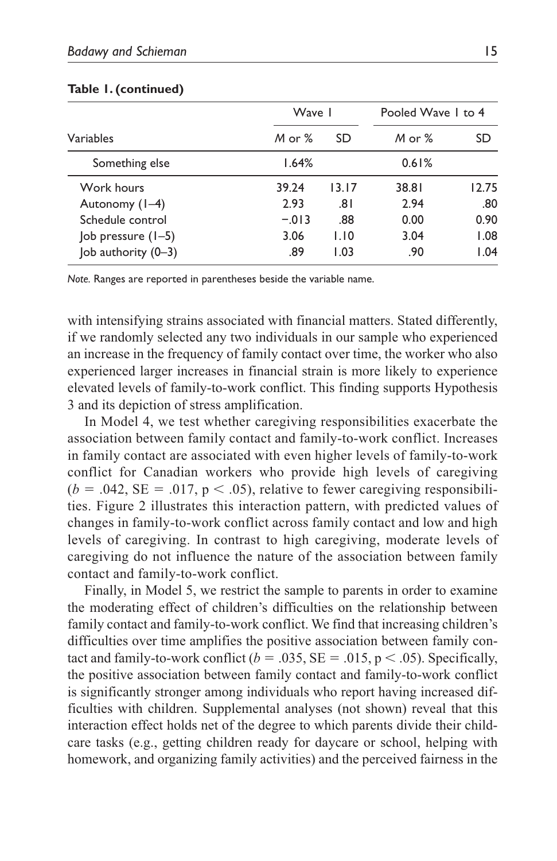|                         | Wave 1  |       | Pooled Wave 1 to 4 |       |
|-------------------------|---------|-------|--------------------|-------|
| Variables               | M or %  | SD    | M or %             | SD    |
| Something else          | 1.64%   |       | 0.61%              |       |
| Work hours              | 39.24   | 13.17 | 38.81              | 12.75 |
| Autonomy $(1-4)$        | 2.93    | ا 8.  | 2.94               | .80   |
| Schedule control        | $-.013$ | .88   | 0.00               | 0.90  |
| $ $ ob pressure $(1-5)$ | 3.06    | 1.10  | 3.04               | 1.08  |
| Job authority (0-3)     | .89     | 1.03  | .90                | 1.04  |

#### **Table 1. (continued)**

*Note.* Ranges are reported in parentheses beside the variable name.

with intensifying strains associated with financial matters. Stated differently, if we randomly selected any two individuals in our sample who experienced an increase in the frequency of family contact over time, the worker who also experienced larger increases in financial strain is more likely to experience elevated levels of family-to-work conflict. This finding supports Hypothesis 3 and its depiction of stress amplification.

In Model 4, we test whether caregiving responsibilities exacerbate the association between family contact and family-to-work conflict. Increases in family contact are associated with even higher levels of family-to-work conflict for Canadian workers who provide high levels of caregiving  $(b = .042, SE = .017, p < .05)$ , relative to fewer caregiving responsibilities. Figure 2 illustrates this interaction pattern, with predicted values of changes in family-to-work conflict across family contact and low and high levels of caregiving. In contrast to high caregiving, moderate levels of caregiving do not influence the nature of the association between family contact and family-to-work conflict.

Finally, in Model 5, we restrict the sample to parents in order to examine the moderating effect of children's difficulties on the relationship between family contact and family-to-work conflict. We find that increasing children's difficulties over time amplifies the positive association between family contact and family-to-work conflict ( $b = .035$ , SE = .015,  $p < .05$ ). Specifically, the positive association between family contact and family-to-work conflict is significantly stronger among individuals who report having increased difficulties with children. Supplemental analyses (not shown) reveal that this interaction effect holds net of the degree to which parents divide their childcare tasks (e.g., getting children ready for daycare or school, helping with homework, and organizing family activities) and the perceived fairness in the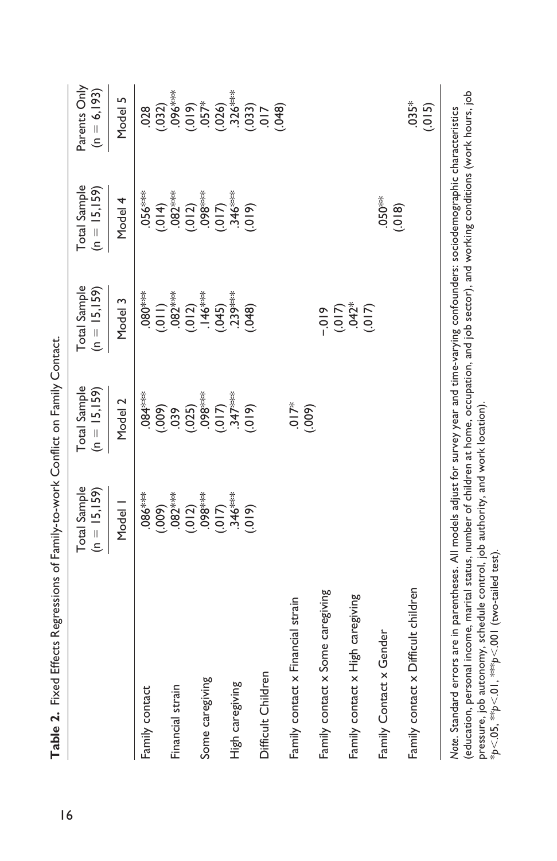|                                                                                                                                                                                                                                                                                             | Total Sample<br>$(n = 15, 159)$                                           | Total Sample<br>$(n = 15, 159)$                                | Total Sample<br>$(n = 15, 159)$                                | Total Sample<br>$(n = 15, 159)$                                                         | Parents Only<br>$(n = 6, 193)$                                                                   |
|---------------------------------------------------------------------------------------------------------------------------------------------------------------------------------------------------------------------------------------------------------------------------------------------|---------------------------------------------------------------------------|----------------------------------------------------------------|----------------------------------------------------------------|-----------------------------------------------------------------------------------------|--------------------------------------------------------------------------------------------------|
|                                                                                                                                                                                                                                                                                             | Model                                                                     | Model 2                                                        | Model 3                                                        | Model 4                                                                                 | Model 5                                                                                          |
| Family contact                                                                                                                                                                                                                                                                              | $086***$                                                                  | $.084***$                                                      | $.080***$                                                      | $.056***$                                                                               | 028                                                                                              |
|                                                                                                                                                                                                                                                                                             |                                                                           |                                                                |                                                                |                                                                                         |                                                                                                  |
| Financial strain                                                                                                                                                                                                                                                                            |                                                                           |                                                                |                                                                |                                                                                         |                                                                                                  |
|                                                                                                                                                                                                                                                                                             | $(009)$<br>$(012)$<br>$(012)$<br>$(017)$<br>$(017)$<br>$(018)$<br>$(019)$ | $(009)$<br>$(010)$<br>$(010)$<br>$(010)$<br>$(000)$<br>$(000)$ | $(011)$<br>$(012)$<br>$(012)$<br>$(045)$<br>$(045)$<br>$(045)$ | $(0.014)$<br>$(0.012)$<br>$(0.017)$<br>$(0.017)$<br>$(0.017)$<br>$(0.017)$<br>$(0.017)$ |                                                                                                  |
| Some caregiving                                                                                                                                                                                                                                                                             |                                                                           |                                                                |                                                                |                                                                                         |                                                                                                  |
|                                                                                                                                                                                                                                                                                             |                                                                           |                                                                |                                                                |                                                                                         |                                                                                                  |
| High caregiving                                                                                                                                                                                                                                                                             |                                                                           |                                                                |                                                                |                                                                                         |                                                                                                  |
|                                                                                                                                                                                                                                                                                             | (610, 0)                                                                  | (610, 1)                                                       | 048                                                            | (610, 1)                                                                                |                                                                                                  |
| Difficult Children                                                                                                                                                                                                                                                                          |                                                                           |                                                                |                                                                |                                                                                         | $(0.032)$<br>$0.96$<br>$0.057$<br>$0.076$<br>$0.033$<br>$0.033$<br>$0.037$<br>$0.048$<br>$0.048$ |
|                                                                                                                                                                                                                                                                                             |                                                                           |                                                                |                                                                |                                                                                         |                                                                                                  |
| Family contact x Financial strain                                                                                                                                                                                                                                                           |                                                                           | $rac{1}{2}$<br>(009)                                           |                                                                |                                                                                         |                                                                                                  |
| Family contact x Some caregiving                                                                                                                                                                                                                                                            |                                                                           |                                                                |                                                                |                                                                                         |                                                                                                  |
|                                                                                                                                                                                                                                                                                             |                                                                           |                                                                |                                                                |                                                                                         |                                                                                                  |
| Family contact x High caregiving                                                                                                                                                                                                                                                            |                                                                           |                                                                | $-0.017$<br>$-0.017$<br>$-0.017$                               |                                                                                         |                                                                                                  |
|                                                                                                                                                                                                                                                                                             |                                                                           |                                                                |                                                                | $.050**$                                                                                |                                                                                                  |
| Family Contact x Gender                                                                                                                                                                                                                                                                     |                                                                           |                                                                |                                                                | (018)                                                                                   |                                                                                                  |
| Family contact x Difficult children                                                                                                                                                                                                                                                         |                                                                           |                                                                |                                                                |                                                                                         | $035*$                                                                                           |
|                                                                                                                                                                                                                                                                                             |                                                                           |                                                                |                                                                |                                                                                         | (.015)                                                                                           |
| (education, personal income, marital status, number of children at home, occupation, and iob sector), and working conditions (work hours, iob<br>Note. Standard errors are in parentheses. All models adjust for survey year and time-varying confounders: sociodemographic characteristics |                                                                           |                                                                |                                                                |                                                                                         |                                                                                                  |

Table 2. Fixed Effects Regressions of Family-to-work Conflict on Family Contact. **Table 2.** Fixed Effects Regressions of Family-to-work Conflict on Family Contact. (education, personal income, marital status, number of children at home, occupation, and job sector), and working conditions (work hours, job 0  $\overline{\phantom{a}}$ pressure, job autonomy, schedule control, job authority, and work location). \**p*<.05, \*\**p*<.01, \*\*\**p*<.001 (two-tailed test).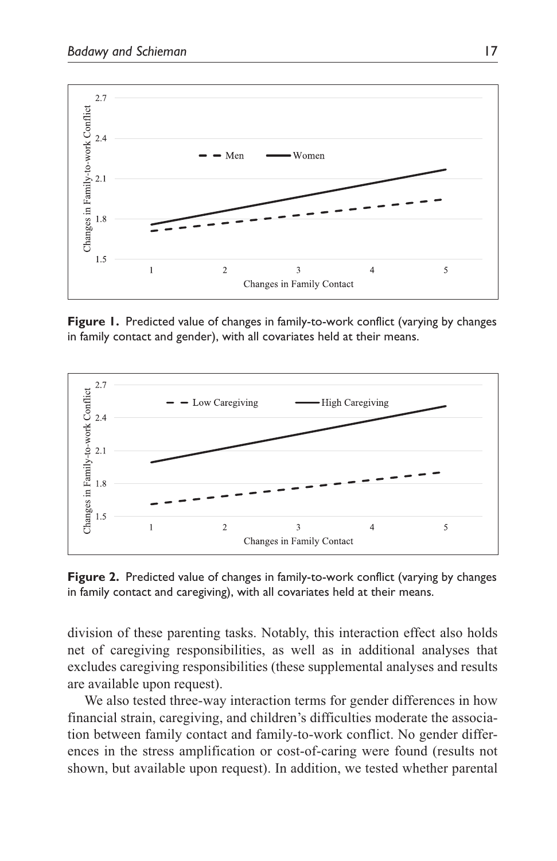

**Figure 1.** Predicted value of changes in family-to-work conflict (varying by changes in family contact and gender), with all covariates held at their means.



**Figure 2.** Predicted value of changes in family-to-work conflict (varying by changes in family contact and caregiving), with all covariates held at their means.

division of these parenting tasks. Notably, this interaction effect also holds net of caregiving responsibilities, as well as in additional analyses that excludes caregiving responsibilities (these supplemental analyses and results are available upon request).

We also tested three-way interaction terms for gender differences in how financial strain, caregiving, and children's difficulties moderate the association between family contact and family-to-work conflict. No gender differences in the stress amplification or cost-of-caring were found (results not shown, but available upon request). In addition, we tested whether parental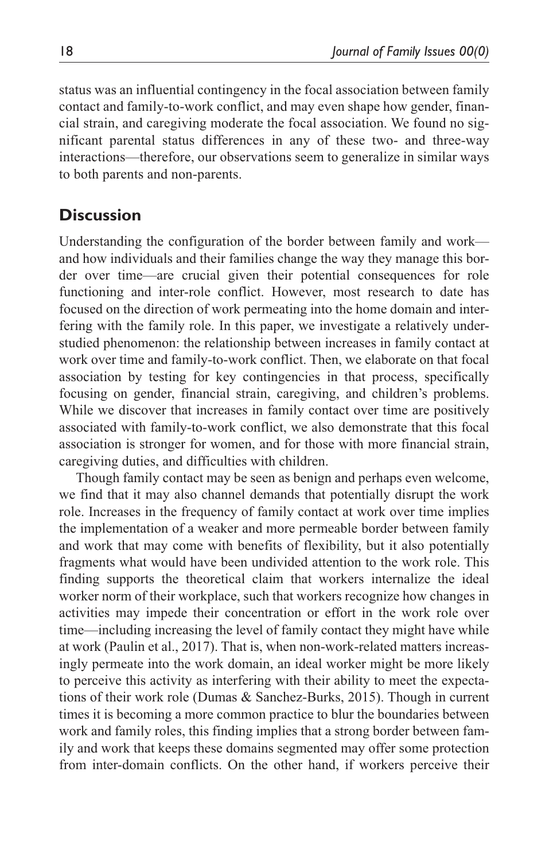status was an influential contingency in the focal association between family contact and family-to-work conflict, and may even shape how gender, financial strain, and caregiving moderate the focal association. We found no significant parental status differences in any of these two- and three-way interactions—therefore, our observations seem to generalize in similar ways to both parents and non-parents.

## **Discussion**

Understanding the configuration of the border between family and work and how individuals and their families change the way they manage this border over time—are crucial given their potential consequences for role functioning and inter-role conflict. However, most research to date has focused on the direction of work permeating into the home domain and interfering with the family role. In this paper, we investigate a relatively understudied phenomenon: the relationship between increases in family contact at work over time and family-to-work conflict. Then, we elaborate on that focal association by testing for key contingencies in that process, specifically focusing on gender, financial strain, caregiving, and children's problems. While we discover that increases in family contact over time are positively associated with family-to-work conflict, we also demonstrate that this focal association is stronger for women, and for those with more financial strain, caregiving duties, and difficulties with children.

Though family contact may be seen as benign and perhaps even welcome, we find that it may also channel demands that potentially disrupt the work role. Increases in the frequency of family contact at work over time implies the implementation of a weaker and more permeable border between family and work that may come with benefits of flexibility, but it also potentially fragments what would have been undivided attention to the work role. This finding supports the theoretical claim that workers internalize the ideal worker norm of their workplace, such that workers recognize how changes in activities may impede their concentration or effort in the work role over time—including increasing the level of family contact they might have while at work (Paulin et al., 2017). That is, when non-work-related matters increasingly permeate into the work domain, an ideal worker might be more likely to perceive this activity as interfering with their ability to meet the expectations of their work role (Dumas & Sanchez-Burks, 2015). Though in current times it is becoming a more common practice to blur the boundaries between work and family roles, this finding implies that a strong border between family and work that keeps these domains segmented may offer some protection from inter-domain conflicts. On the other hand, if workers perceive their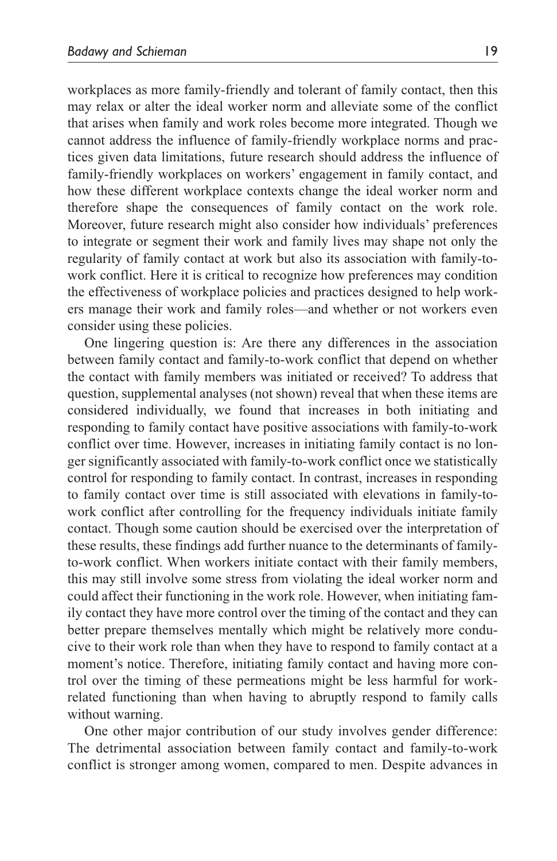workplaces as more family-friendly and tolerant of family contact, then this may relax or alter the ideal worker norm and alleviate some of the conflict that arises when family and work roles become more integrated. Though we cannot address the influence of family-friendly workplace norms and practices given data limitations, future research should address the influence of family-friendly workplaces on workers' engagement in family contact, and how these different workplace contexts change the ideal worker norm and therefore shape the consequences of family contact on the work role. Moreover, future research might also consider how individuals' preferences to integrate or segment their work and family lives may shape not only the regularity of family contact at work but also its association with family-towork conflict. Here it is critical to recognize how preferences may condition the effectiveness of workplace policies and practices designed to help workers manage their work and family roles—and whether or not workers even consider using these policies.

One lingering question is: Are there any differences in the association between family contact and family-to-work conflict that depend on whether the contact with family members was initiated or received? To address that question, supplemental analyses (not shown) reveal that when these items are considered individually, we found that increases in both initiating and responding to family contact have positive associations with family-to-work conflict over time. However, increases in initiating family contact is no longer significantly associated with family-to-work conflict once we statistically control for responding to family contact. In contrast, increases in responding to family contact over time is still associated with elevations in family-towork conflict after controlling for the frequency individuals initiate family contact. Though some caution should be exercised over the interpretation of these results, these findings add further nuance to the determinants of familyto-work conflict. When workers initiate contact with their family members, this may still involve some stress from violating the ideal worker norm and could affect their functioning in the work role. However, when initiating family contact they have more control over the timing of the contact and they can better prepare themselves mentally which might be relatively more conducive to their work role than when they have to respond to family contact at a moment's notice. Therefore, initiating family contact and having more control over the timing of these permeations might be less harmful for workrelated functioning than when having to abruptly respond to family calls without warning.

One other major contribution of our study involves gender difference: The detrimental association between family contact and family-to-work conflict is stronger among women, compared to men. Despite advances in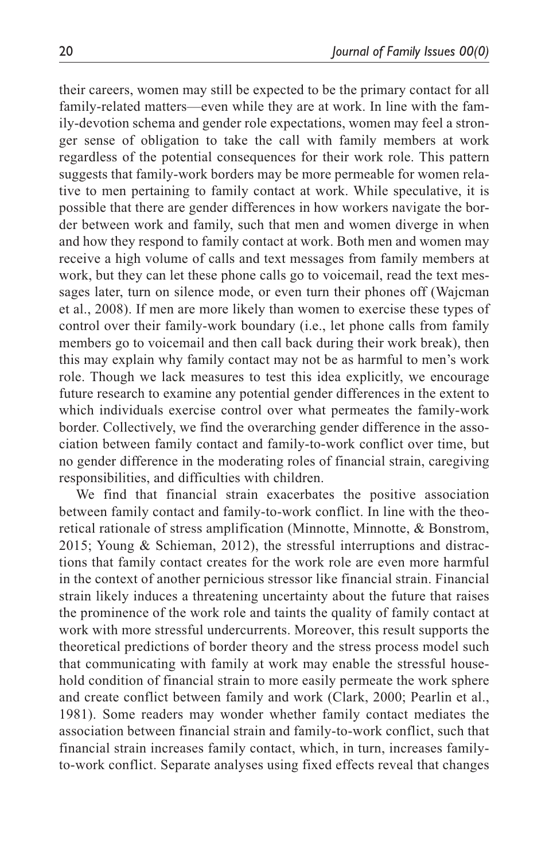their careers, women may still be expected to be the primary contact for all family-related matters—even while they are at work. In line with the family-devotion schema and gender role expectations, women may feel a stronger sense of obligation to take the call with family members at work regardless of the potential consequences for their work role. This pattern suggests that family-work borders may be more permeable for women relative to men pertaining to family contact at work. While speculative, it is possible that there are gender differences in how workers navigate the border between work and family, such that men and women diverge in when and how they respond to family contact at work. Both men and women may receive a high volume of calls and text messages from family members at work, but they can let these phone calls go to voicemail, read the text messages later, turn on silence mode, or even turn their phones off (Wajcman et al., 2008). If men are more likely than women to exercise these types of control over their family-work boundary (i.e., let phone calls from family members go to voicemail and then call back during their work break), then this may explain why family contact may not be as harmful to men's work role. Though we lack measures to test this idea explicitly, we encourage future research to examine any potential gender differences in the extent to which individuals exercise control over what permeates the family-work border. Collectively, we find the overarching gender difference in the association between family contact and family-to-work conflict over time, but no gender difference in the moderating roles of financial strain, caregiving responsibilities, and difficulties with children.

We find that financial strain exacerbates the positive association between family contact and family-to-work conflict. In line with the theoretical rationale of stress amplification (Minnotte, Minnotte, & Bonstrom, 2015; Young & Schieman, 2012), the stressful interruptions and distractions that family contact creates for the work role are even more harmful in the context of another pernicious stressor like financial strain. Financial strain likely induces a threatening uncertainty about the future that raises the prominence of the work role and taints the quality of family contact at work with more stressful undercurrents. Moreover, this result supports the theoretical predictions of border theory and the stress process model such that communicating with family at work may enable the stressful household condition of financial strain to more easily permeate the work sphere and create conflict between family and work (Clark, 2000; Pearlin et al., 1981). Some readers may wonder whether family contact mediates the association between financial strain and family-to-work conflict, such that financial strain increases family contact, which, in turn, increases familyto-work conflict. Separate analyses using fixed effects reveal that changes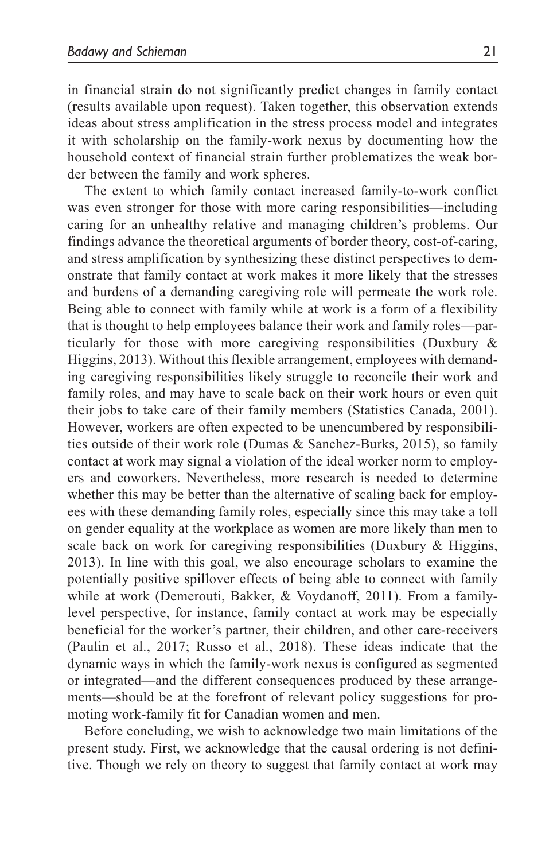in financial strain do not significantly predict changes in family contact (results available upon request). Taken together, this observation extends ideas about stress amplification in the stress process model and integrates it with scholarship on the family-work nexus by documenting how the household context of financial strain further problematizes the weak border between the family and work spheres.

The extent to which family contact increased family-to-work conflict was even stronger for those with more caring responsibilities—including caring for an unhealthy relative and managing children's problems. Our findings advance the theoretical arguments of border theory, cost-of-caring, and stress amplification by synthesizing these distinct perspectives to demonstrate that family contact at work makes it more likely that the stresses and burdens of a demanding caregiving role will permeate the work role. Being able to connect with family while at work is a form of a flexibility that is thought to help employees balance their work and family roles—particularly for those with more caregiving responsibilities (Duxbury & Higgins, 2013). Without this flexible arrangement, employees with demanding caregiving responsibilities likely struggle to reconcile their work and family roles, and may have to scale back on their work hours or even quit their jobs to take care of their family members (Statistics Canada, 2001). However, workers are often expected to be unencumbered by responsibilities outside of their work role (Dumas & Sanchez-Burks, 2015), so family contact at work may signal a violation of the ideal worker norm to employers and coworkers. Nevertheless, more research is needed to determine whether this may be better than the alternative of scaling back for employees with these demanding family roles, especially since this may take a toll on gender equality at the workplace as women are more likely than men to scale back on work for caregiving responsibilities (Duxbury  $\&$  Higgins, 2013). In line with this goal, we also encourage scholars to examine the potentially positive spillover effects of being able to connect with family while at work (Demerouti, Bakker, & Voydanoff, 2011). From a familylevel perspective, for instance, family contact at work may be especially beneficial for the worker's partner, their children, and other care-receivers (Paulin et al., 2017; Russo et al., 2018). These ideas indicate that the dynamic ways in which the family-work nexus is configured as segmented or integrated—and the different consequences produced by these arrangements—should be at the forefront of relevant policy suggestions for promoting work-family fit for Canadian women and men.

Before concluding, we wish to acknowledge two main limitations of the present study. First, we acknowledge that the causal ordering is not definitive. Though we rely on theory to suggest that family contact at work may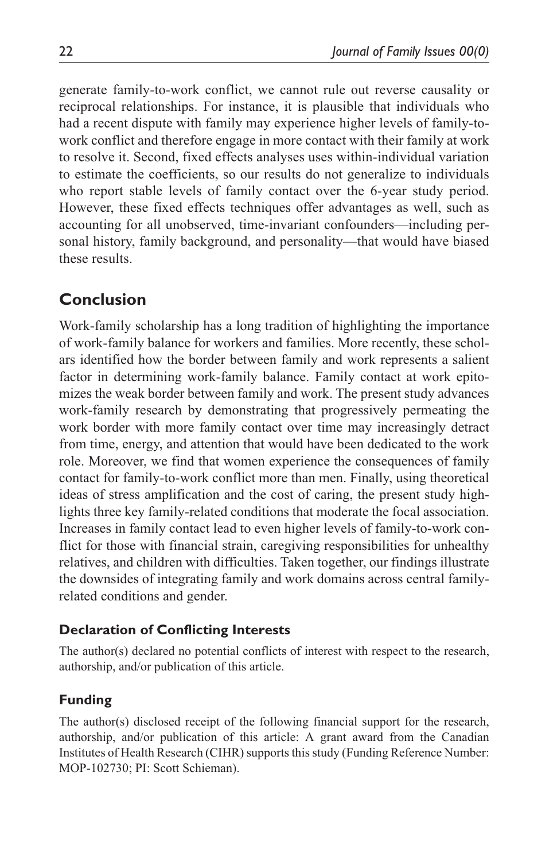generate family-to-work conflict, we cannot rule out reverse causality or reciprocal relationships. For instance, it is plausible that individuals who had a recent dispute with family may experience higher levels of family-towork conflict and therefore engage in more contact with their family at work to resolve it. Second, fixed effects analyses uses within-individual variation to estimate the coefficients, so our results do not generalize to individuals who report stable levels of family contact over the 6-year study period. However, these fixed effects techniques offer advantages as well, such as accounting for all unobserved, time-invariant confounders—including personal history, family background, and personality—that would have biased these results.

## **Conclusion**

Work-family scholarship has a long tradition of highlighting the importance of work-family balance for workers and families. More recently, these scholars identified how the border between family and work represents a salient factor in determining work-family balance. Family contact at work epitomizes the weak border between family and work. The present study advances work-family research by demonstrating that progressively permeating the work border with more family contact over time may increasingly detract from time, energy, and attention that would have been dedicated to the work role. Moreover, we find that women experience the consequences of family contact for family-to-work conflict more than men. Finally, using theoretical ideas of stress amplification and the cost of caring, the present study highlights three key family-related conditions that moderate the focal association. Increases in family contact lead to even higher levels of family-to-work conflict for those with financial strain, caregiving responsibilities for unhealthy relatives, and children with difficulties. Taken together, our findings illustrate the downsides of integrating family and work domains across central familyrelated conditions and gender.

#### **Declaration of Conflicting Interests**

The author(s) declared no potential conflicts of interest with respect to the research, authorship, and/or publication of this article.

#### **Funding**

The author(s) disclosed receipt of the following financial support for the research, authorship, and/or publication of this article: A grant award from the Canadian Institutes of Health Research (CIHR) supports this study (Funding Reference Number: MOP-102730; PI: Scott Schieman).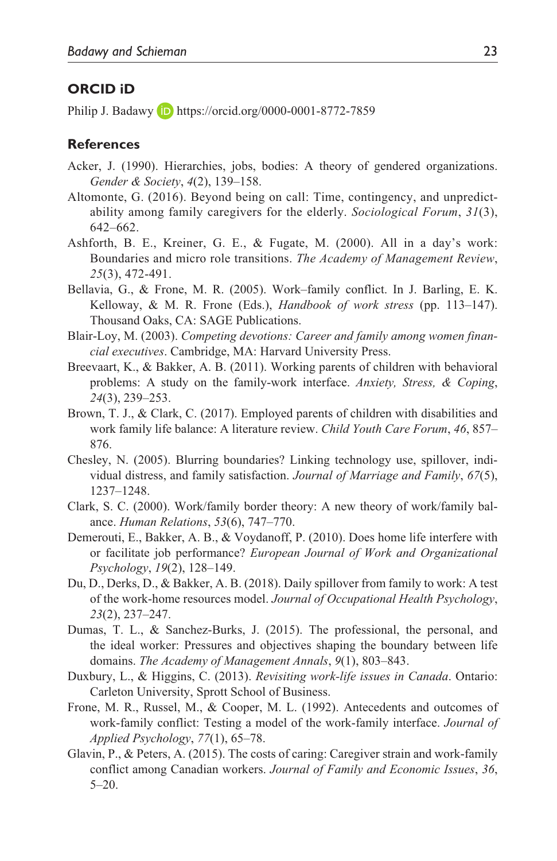#### **ORCID iD**

Philip J. Badawy **D** <https://orcid.org/0000-0001-8772-7859>

#### **References**

- Acker, J. (1990). Hierarchies, jobs, bodies: A theory of gendered organizations. *Gender & Society*, *4*(2), 139–158.
- Altomonte, G. (2016). Beyond being on call: Time, contingency, and unpredictability among family caregivers for the elderly. *Sociological Forum*, *31*(3), 642–662.
- Ashforth, B. E., Kreiner, G. E., & Fugate, M. (2000). All in a day's work: Boundaries and micro role transitions. *The Academy of Management Review*, *25*(3), 472-491.
- Bellavia, G., & Frone, M. R. (2005). Work–family conflict. In J. Barling, E. K. Kelloway, & M. R. Frone (Eds.), *Handbook of work stress* (pp. 113–147). Thousand Oaks, CA: SAGE Publications.
- Blair-Loy, M. (2003). *Competing devotions: Career and family among women financial executives*. Cambridge, MA: Harvard University Press.
- Breevaart, K., & Bakker, A. B. (2011). Working parents of children with behavioral problems: A study on the family-work interface. *Anxiety, Stress, & Coping*, *24*(3), 239–253.
- Brown, T. J., & Clark, C. (2017). Employed parents of children with disabilities and work family life balance: A literature review. *Child Youth Care Forum*, *46*, 857– 876.
- Chesley, N. (2005). Blurring boundaries? Linking technology use, spillover, individual distress, and family satisfaction. *Journal of Marriage and Family*, *67*(5), 1237–1248.
- Clark, S. C. (2000). Work/family border theory: A new theory of work/family balance. *Human Relations*, *53*(6), 747–770.
- Demerouti, E., Bakker, A. B., & Voydanoff, P. (2010). Does home life interfere with or facilitate job performance? *European Journal of Work and Organizational Psychology*, *19*(2), 128–149.
- Du, D., Derks, D., & Bakker, A. B. (2018). Daily spillover from family to work: A test of the work-home resources model. *Journal of Occupational Health Psychology*, *23*(2), 237–247.
- Dumas, T. L., & Sanchez-Burks, J. (2015). The professional, the personal, and the ideal worker: Pressures and objectives shaping the boundary between life domains. *The Academy of Management Annals*, *9*(1), 803–843.
- Duxbury, L., & Higgins, C. (2013). *Revisiting work-life issues in Canada*. Ontario: Carleton University, Sprott School of Business.
- Frone, M. R., Russel, M., & Cooper, M. L. (1992). Antecedents and outcomes of work-family conflict: Testing a model of the work-family interface. *Journal of Applied Psychology*, *77*(1), 65–78.
- Glavin, P., & Peters, A. (2015). The costs of caring: Caregiver strain and work-family conflict among Canadian workers. *Journal of Family and Economic Issues*, *36*, 5–20.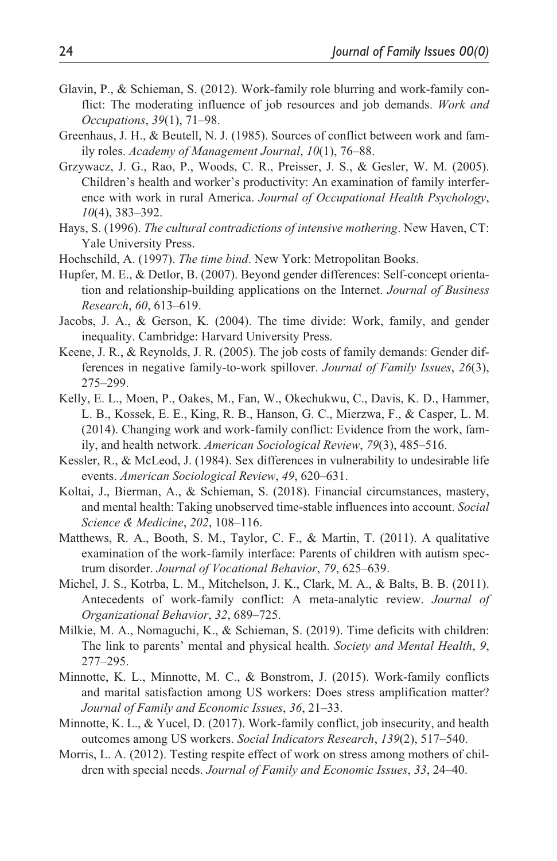- Glavin, P., & Schieman, S. (2012). Work-family role blurring and work-family conflict: The moderating influence of job resources and job demands. *Work and Occupations*, *39*(1), 71–98.
- Greenhaus, J. H., & Beutell, N. J. (1985). Sources of conflict between work and family roles. *Academy of Management Journal*, *10*(1), 76–88.
- Grzywacz, J. G., Rao, P., Woods, C. R., Preisser, J. S., & Gesler, W. M. (2005). Children's health and worker's productivity: An examination of family interference with work in rural America. *Journal of Occupational Health Psychology*, *10*(4), 383–392.
- Hays, S. (1996). *The cultural contradictions of intensive mothering*. New Haven, CT: Yale University Press.
- Hochschild, A. (1997). *The time bind*. New York: Metropolitan Books.
- Hupfer, M. E., & Detlor, B. (2007). Beyond gender differences: Self-concept orientation and relationship-building applications on the Internet. *Journal of Business Research*, *60*, 613–619.
- Jacobs, J. A., & Gerson, K. (2004). The time divide: Work, family, and gender inequality. Cambridge: Harvard University Press.
- Keene, J. R., & Reynolds, J. R. (2005). The job costs of family demands: Gender differences in negative family-to-work spillover. *Journal of Family Issues*, *26*(3), 275–299.
- Kelly, E. L., Moen, P., Oakes, M., Fan, W., Okechukwu, C., Davis, K. D., Hammer, L. B., Kossek, E. E., King, R. B., Hanson, G. C., Mierzwa, F., & Casper, L. M. (2014). Changing work and work-family conflict: Evidence from the work, family, and health network. *American Sociological Review*, *79*(3), 485–516.
- Kessler, R., & McLeod, J. (1984). Sex differences in vulnerability to undesirable life events. *American Sociological Review*, *49*, 620–631.
- Koltai, J., Bierman, A., & Schieman, S. (2018). Financial circumstances, mastery, and mental health: Taking unobserved time-stable influences into account. *Social Science & Medicine*, *202*, 108–116.
- Matthews, R. A., Booth, S. M., Taylor, C. F., & Martin, T. (2011). A qualitative examination of the work-family interface: Parents of children with autism spectrum disorder. *Journal of Vocational Behavior*, *79*, 625–639.
- Michel, J. S., Kotrba, L. M., Mitchelson, J. K., Clark, M. A., & Balts, B. B. (2011). Antecedents of work-family conflict: A meta-analytic review. *Journal of Organizational Behavior*, *32*, 689–725.
- Milkie, M. A., Nomaguchi, K., & Schieman, S. (2019). Time deficits with children: The link to parents' mental and physical health. *Society and Mental Health*, *9*, 277–295.
- Minnotte, K. L., Minnotte, M. C., & Bonstrom, J. (2015). Work-family conflicts and marital satisfaction among US workers: Does stress amplification matter? *Journal of Family and Economic Issues*, *36*, 21–33.
- Minnotte, K. L., & Yucel, D. (2017). Work-family conflict, job insecurity, and health outcomes among US workers. *Social Indicators Research*, *139*(2), 517–540.
- Morris, L. A. (2012). Testing respite effect of work on stress among mothers of children with special needs. *Journal of Family and Economic Issues*, *33*, 24–40.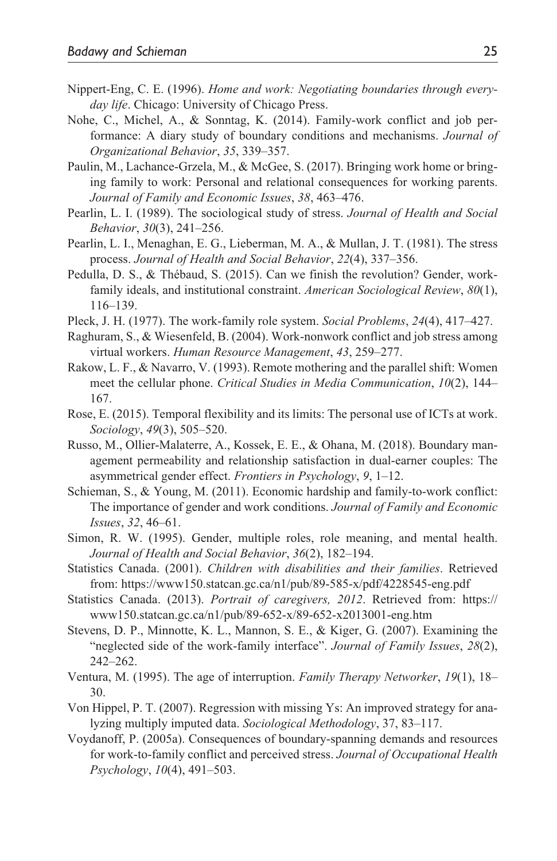- Nippert-Eng, C. E. (1996). *Home and work: Negotiating boundaries through everyday life*. Chicago: University of Chicago Press.
- Nohe, C., Michel, A., & Sonntag, K. (2014). Family-work conflict and job performance: A diary study of boundary conditions and mechanisms. *Journal of Organizational Behavior*, *35*, 339–357.
- Paulin, M., Lachance-Grzela, M., & McGee, S. (2017). Bringing work home or bringing family to work: Personal and relational consequences for working parents. *Journal of Family and Economic Issues*, *38*, 463–476.
- Pearlin, L. I. (1989). The sociological study of stress. *Journal of Health and Social Behavior*, *30*(3), 241–256.
- Pearlin, L. I., Menaghan, E. G., Lieberman, M. A., & Mullan, J. T. (1981). The stress process. *Journal of Health and Social Behavior*, *22*(4), 337–356.
- Pedulla, D. S., & Thébaud, S. (2015). Can we finish the revolution? Gender, workfamily ideals, and institutional constraint. *American Sociological Review*, *80*(1), 116–139.
- Pleck, J. H. (1977). The work-family role system. *Social Problems*, *24*(4), 417–427.
- Raghuram, S., & Wiesenfeld, B. (2004). Work-nonwork conflict and job stress among virtual workers. *Human Resource Management*, *43*, 259–277.
- Rakow, L. F., & Navarro, V. (1993). Remote mothering and the parallel shift: Women meet the cellular phone. *Critical Studies in Media Communication*, *10*(2), 144– 167.
- Rose, E. (2015). Temporal flexibility and its limits: The personal use of ICTs at work. *Sociology*, *49*(3), 505–520.
- Russo, M., Ollier-Malaterre, A., Kossek, E. E., & Ohana, M. (2018). Boundary management permeability and relationship satisfaction in dual-earner couples: The asymmetrical gender effect. *Frontiers in Psychology*, *9*, 1–12.
- Schieman, S., & Young, M. (2011). Economic hardship and family-to-work conflict: The importance of gender and work conditions. *Journal of Family and Economic Issues*, *32*, 46–61.
- Simon, R. W. (1995). Gender, multiple roles, role meaning, and mental health. *Journal of Health and Social Behavior*, *36*(2), 182–194.
- Statistics Canada. (2001). *Children with disabilities and their families*. Retrieved from:<https://www150.statcan.gc.ca/n1/pub/89-585-x/pdf/4228545-eng.pdf>
- Statistics Canada. (2013). *Portrait of caregivers, 2012*. Retrieved from: [https://](https://www150.statcan.gc.ca/n1/pub/89-652-x/89-652-x2013001-eng.htm) [www150.statcan.gc.ca/n1/pub/89-652-x/89-652-x2013001-eng.htm](https://www150.statcan.gc.ca/n1/pub/89-652-x/89-652-x2013001-eng.htm)
- Stevens, D. P., Minnotte, K. L., Mannon, S. E., & Kiger, G. (2007). Examining the "neglected side of the work-family interface". *Journal of Family Issues*, *28*(2), 242–262.
- Ventura, M. (1995). The age of interruption. *Family Therapy Networker*, *19*(1), 18– 30.
- Von Hippel, P. T. (2007). Regression with missing Ys: An improved strategy for analyzing multiply imputed data. *Sociological Methodology*, 37, 83–117.
- Voydanoff, P. (2005a). Consequences of boundary-spanning demands and resources for work-to-family conflict and perceived stress. *Journal of Occupational Health Psychology*, *10*(4), 491–503.